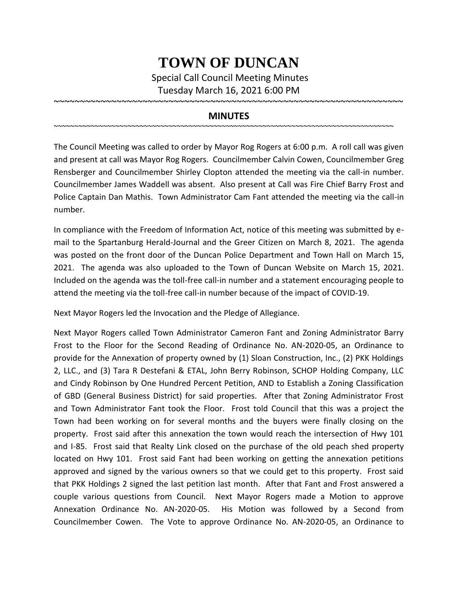## **TOWN OF DUNCAN**

Special Call Council Meeting Minutes Tuesday March 16, 2021 6:00 PM

~~~~~~~~~~~~~~~~~~~~~~~~~~~~~~~~~~~~~~~~~~~~~~~~~~~~~~~~~~~~~~~~~~~

## **MINUTES**

~~~~~~~~~~~~~~~~~~~~~~~~~~~~~~~~~~~~~~~~~~~~~~~~~~~~~~~~~~~~~~~~~~~~~~~~~~~~~~~~~~~

The Council Meeting was called to order by Mayor Rog Rogers at 6:00 p.m. A roll call was given and present at call was Mayor Rog Rogers. Councilmember Calvin Cowen, Councilmember Greg Rensberger and Councilmember Shirley Clopton attended the meeting via the call-in number. Councilmember James Waddell was absent. Also present at Call was Fire Chief Barry Frost and Police Captain Dan Mathis. Town Administrator Cam Fant attended the meeting via the call-in number.

In compliance with the Freedom of Information Act, notice of this meeting was submitted by email to the Spartanburg Herald-Journal and the Greer Citizen on March 8, 2021. The agenda was posted on the front door of the Duncan Police Department and Town Hall on March 15, 2021. The agenda was also uploaded to the Town of Duncan Website on March 15, 2021. Included on the agenda was the toll-free call-in number and a statement encouraging people to attend the meeting via the toll-free call-in number because of the impact of COVID-19.

Next Mayor Rogers led the Invocation and the Pledge of Allegiance.

Next Mayor Rogers called Town Administrator Cameron Fant and Zoning Administrator Barry Frost to the Floor for the Second Reading of Ordinance No. AN-2020-05, an Ordinance to provide for the Annexation of property owned by (1) Sloan Construction, Inc., (2) PKK Holdings 2, LLC., and (3) Tara R Destefani & ETAL, John Berry Robinson, SCHOP Holding Company, LLC and Cindy Robinson by One Hundred Percent Petition, AND to Establish a Zoning Classification of GBD (General Business District) for said properties. After that Zoning Administrator Frost and Town Administrator Fant took the Floor. Frost told Council that this was a project the Town had been working on for several months and the buyers were finally closing on the property. Frost said after this annexation the town would reach the intersection of Hwy 101 and I-85. Frost said that Realty Link closed on the purchase of the old peach shed property located on Hwy 101. Frost said Fant had been working on getting the annexation petitions approved and signed by the various owners so that we could get to this property. Frost said that PKK Holdings 2 signed the last petition last month. After that Fant and Frost answered a couple various questions from Council. Next Mayor Rogers made a Motion to approve Annexation Ordinance No. AN-2020-05. His Motion was followed by a Second from Councilmember Cowen. The Vote to approve Ordinance No. AN-2020-05, an Ordinance to